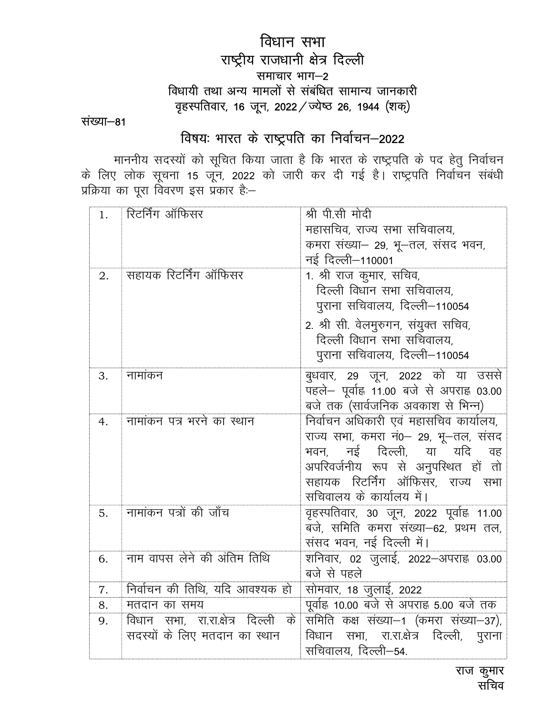# विधान सभा राष्ट्रीय राजधानी क्षेत्र दिल्ली समाचार भाग-2 विधायी तथा अन्य मामलों से संबंधित सामान्य जानकारी वृहस्पतिवार, 16 जून, 2022 / ज्येष्ठ 26, 1944 (शक्)

संख्या-81

# विषयः भारत के राष्ट्रपति का निर्वाचन–2022

माननीय सदस्यों को सूचित किया जाता है कि भारत के राष्ट्रपति के पद हेतु निर्वाचन<br>के लिए लोक सूचना 15 जून, 2022 को जारी कर दी गई है। राष्ट्रपति निर्वाचन संबंधी<br>प्रक्रिया का पूरा विवरण इस प्रकार है:—

| 1. | रिटर्निंग ऑफिसर                    | श्री पी.सी मोदी                                              |
|----|------------------------------------|--------------------------------------------------------------|
|    |                                    | महासचिव, राज्य सभा सचिवालय,                                  |
|    |                                    | कमरा संख्या- 29, भू-तल, संसद भवन,                            |
|    |                                    | नई दिल्ली–110001                                             |
| 2. | सहायक रिटर्निंग ऑफिसर              | 1. श्री राज कुमार, सचिव,                                     |
|    |                                    | दिल्ली विधान सभा सचिवालय,                                    |
|    |                                    | पुराना सचिवालय, दिल्ली—110054                                |
|    |                                    | 2. श्री सी. वेलमुरुगन, संयुक्त सचिव,                         |
|    |                                    | दिल्ली विधान सभा सचिवालय,                                    |
|    |                                    | पुराना सचिवालय, दिल्ली–110054                                |
| 3. | नामांकन                            | बुधवार, 29 जून, 2022 को या उससे                              |
|    |                                    | पहले- पूर्वाह्न 11.00 बजे से अपराह्न 03.00                   |
|    |                                    | बजे तक (सार्वजनिक अवकाश से भिन्न)                            |
| 4. | नामांकन पत्र भरने का स्थान         | निर्वाचन अधिकारी एवं महासचिव कार्यालय,                       |
|    |                                    | राज्य सभा, कमरा नं0- 29, भू-तल, संसद                         |
|    |                                    | भवन, नई दिल्ली, या यदि वह                                    |
|    |                                    | अपरिवर्जनीय रूप से अनुपस्थित हों तो                          |
|    |                                    | सहायक रिटर्निंग ऑफिसर, राज्य सभा<br>सचिवालय के कार्यालय में। |
| 5. | नामांकन पत्रों की जाँच             | वृहस्पतिवार, 30 जून, 2022 पूर्वाह्न 11.00                    |
|    |                                    | बजे, समिति कमरा संख्या-62, प्रथम तल,                         |
|    |                                    | संसद भवन, नई दिल्ली में।                                     |
| 6. | नाम वापस लेने की अंतिम तिथि        | शनिवार, 02 जुलाई, 2022—अपराह्न 03.00                         |
|    |                                    | बजे से पहले                                                  |
| 7. | निर्वाचन की तिथि, यदि आवश्यक हो    | <u>सोमवार, 18</u> जुलाई, 2022                                |
| 8. | मतदान का समय                       | पूर्वाह्न 10.00 बजे से अपराह्न 5.00 बजे तक                   |
| 9. | विधान सभा, रा.रा.क्षेत्र दिल्ली के | समिति कक्ष संख्या-1 (कमरा संख्या-37),                        |
|    | सदस्यों के लिए मतदान का स्थान      | विधान सभा, रा.रा.क्षेत्र दिल्ली, पुराना                      |
|    |                                    | सचिवालय, दिल्ली—54.                                          |